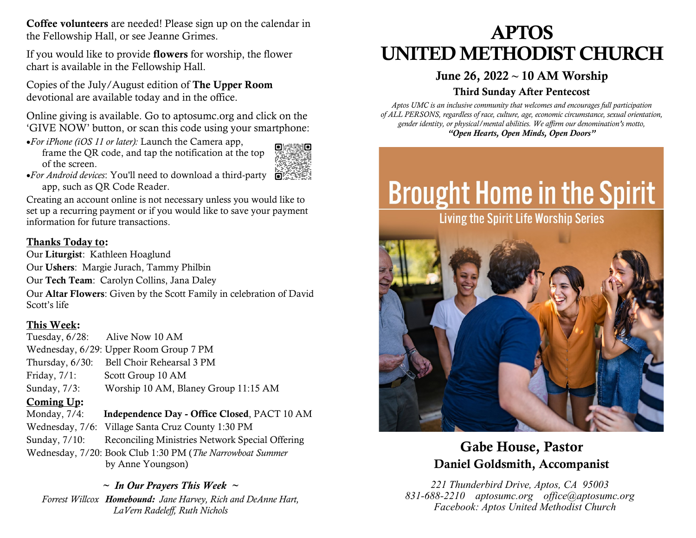Coffee volunteers are needed! Please sign up on the calendar in the Fellowship Hall, or see Jeanne Grimes.

If you would like to provide flowers for worship, the flower chart is available in the Fellowship Hall.

Copies of the July/August edition of The Upper Room devotional are available today and in the office.

Online giving is available. Go to aptosumc.org and click on the 'GIVE NOW' button, or scan this code using your smartphone:

•*For iPhone (iOS 11 or later):* Launch the Camera app, frame the QR code, and tap the notification at the top of the screen.



•*For Android devices*: You'll need to download a third-party  $\bullet$ app, such as [QR Code Reader.](https://play.google.com/store/apps/details?id=tw.mobileapp.qrcode.banner)

Creating an account online is not necessary unless you would like to set up a recurring payment or if you would like to save your payment information for future transactions.

## Thanks Today to:

Our Liturgist: Kathleen Hoaglund

Our Ushers: Margie Jurach, Tammy Philbin

Our Tech Team: Carolyn Collins, Jana Daley

Our Altar Flowers: Given by the Scott Family in celebration of David Scott's life

## This Week:

Tuesday, 6/28: Alive Now 10 AM Wednesday, 6/29: Upper Room Group 7 PM Thursday, 6/30: Bell Choir Rehearsal 3 PM Friday,  $7/1$ : Scott Group 10 AM Sunday, 7/3: Worship 10 AM, Blaney Group 11:15 AM

## Coming Up:

Monday,  $7/4$ : Independence Day - Office Closed, PACT 10 AM Wednesday, 7/6: Village Santa Cruz County 1:30 PM Sunday, 7/10: Reconciling Ministries Network Special Offering Wednesday, 7/20: Book Club 1:30 PM (*The Narrowboat Summer* by Anne Youngson)

*~ In Our Prayers This Week ~ Forrest Willcox Homebound: Jane Harvey, Rich and DeAnne Hart, LaVern Radeleff, Ruth Nichols*

# APTOS UNITED METHODIST CHURCH

## June 26, 2022 **~** 10 AM Worship

## Third Sunday After Pentecost

*Aptos UMC is an inclusive community that welcomes and encourages full participation of ALL PERSONS, regardless of race, culture, age, economic circumstance, sexual orientation, gender identity, or physical/mental abilities. We affirm our denomination's motto, "Open Hearts, Open Minds, Open Doors"*

# **Brought Home in the Spirit**

Living the Spirit Life Worship Series



## Gabe House, Pastor Daniel Goldsmith, Accompanist

*221 Thunderbird Drive, Aptos, CA 95003 831-688-2210 aptosumc.org office@aptosumc.org Facebook: Aptos United Methodist Church*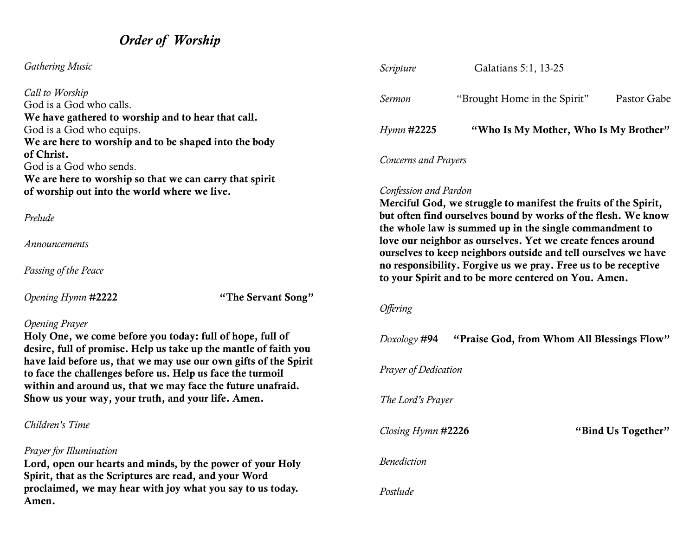## *Order of Worship*

## *Gathering Music*

*Call to Worship* God is a God who calls. We have gathered to worship and to hear that call. God is a God who equips. We are here to worship and to be shaped into the body of Christ. God is a God who sends. We are here to worship so that we can carry that spirit of worship out into the world where we live.

#### *Prelude*

*Announcements*

*Passing of the Peace*

*Opening Hymn* #2222 "The Servant Song"

## *Opening Prayer*

Holy One, we come before you today: full of hope, full of desire, full of promise. Help us take up the mantle of faith you have laid before us, that we may use our own gifts of the Spirit to face the challenges before us. Help us face the turmoil within and around us, that we may face the future unafraid. Show us your way, your truth, and your life. Amen.

*Children's Time*

## *Prayer for Illumination*

Lord, open our hearts and minds, by the power of your Holy Spirit, that as the Scriptures are read, and your Word proclaimed, we may hear with joy what you say to us today. Amen.

| Scripture            | Galatians 5:1, 13-25                  |             |  |  |
|----------------------|---------------------------------------|-------------|--|--|
| Sermon               | "Brought Home in the Spirit"          | Pastor Gabe |  |  |
| <i>Hymn</i> #2225    | "Who Is My Mother, Who Is My Brother" |             |  |  |
| Concerns and Prayers |                                       |             |  |  |

## *Confession and Pardon*

Merciful God, we struggle to manifest the fruits of the Spirit, but often find ourselves bound by works of the flesh. We know the whole law is summed up in the single commandment to love our neighbor as ourselves. Yet we create fences around ourselves to keep neighbors outside and tell ourselves we have no responsibility. Forgive us we pray. Free us to be receptive to your Spirit and to be more centered on You. Amen.

#### *Offering*

| Doxology # <b>94</b>        | "Praise God, from Whom All Blessings Flow" |                    |  |  |
|-----------------------------|--------------------------------------------|--------------------|--|--|
| <b>Prayer of Dedication</b> |                                            |                    |  |  |
| The Lord's Prayer           |                                            |                    |  |  |
| Closing Hymn #2226          |                                            | "Bind Us Together" |  |  |
| <i>Benediction</i>          |                                            |                    |  |  |
| Postlude                    |                                            |                    |  |  |